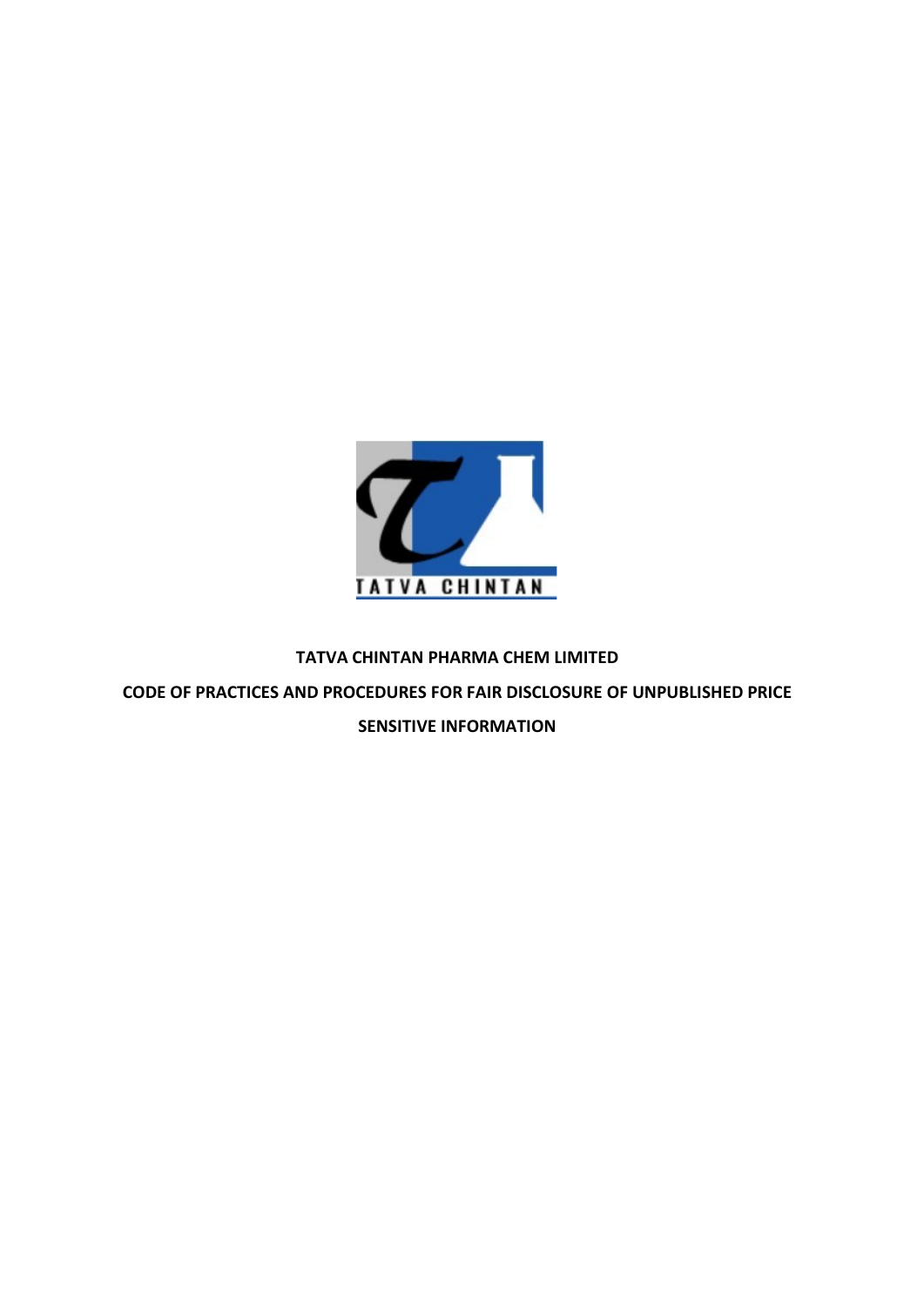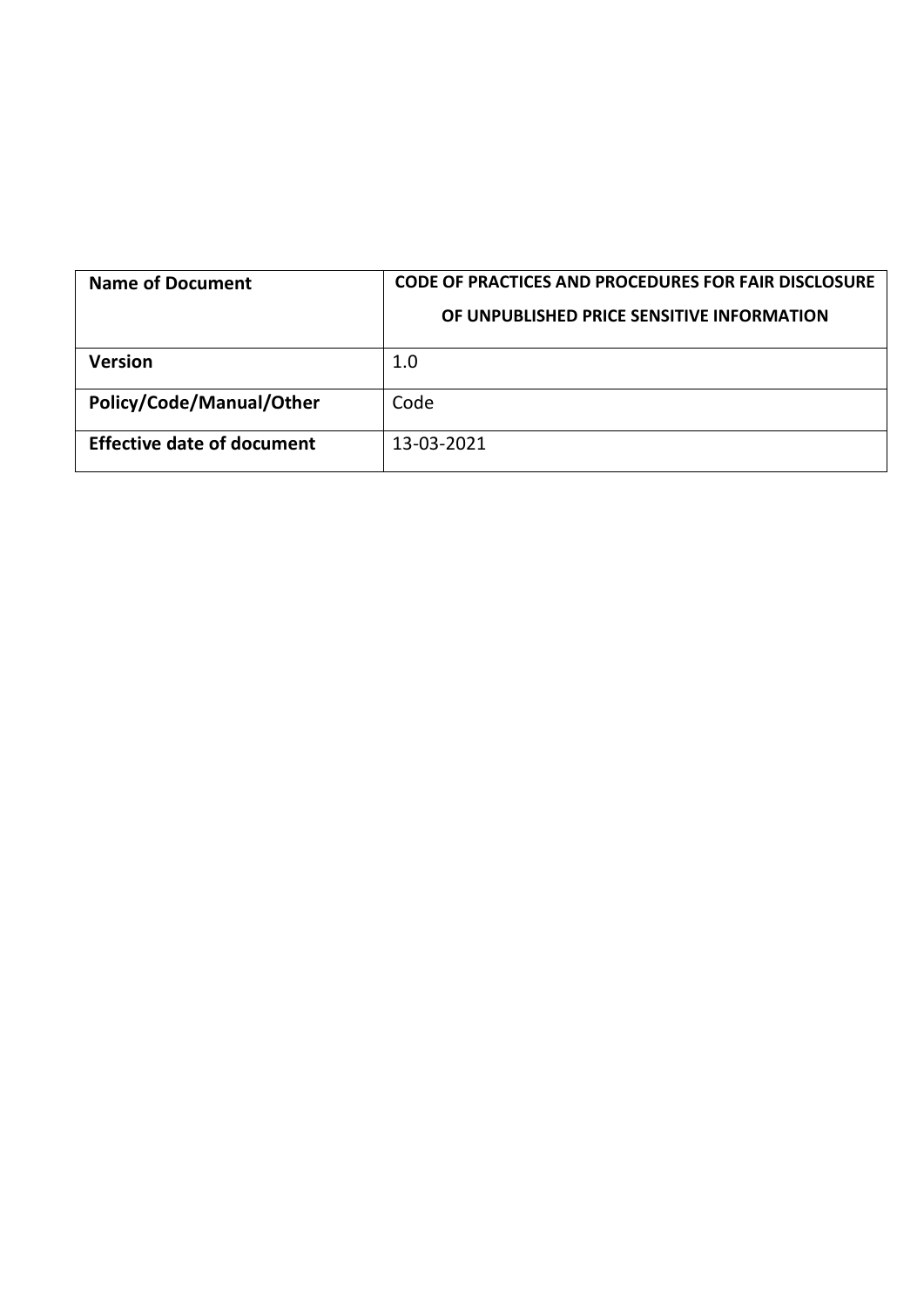| <b>Name of Document</b>           | CODE OF PRACTICES AND PROCEDURES FOR FAIR DISCLOSURE<br>OF UNPUBLISHED PRICE SENSITIVE INFORMATION |
|-----------------------------------|----------------------------------------------------------------------------------------------------|
| <b>Version</b>                    | 1.0                                                                                                |
| Policy/Code/Manual/Other          | Code                                                                                               |
| <b>Effective date of document</b> | 13-03-2021                                                                                         |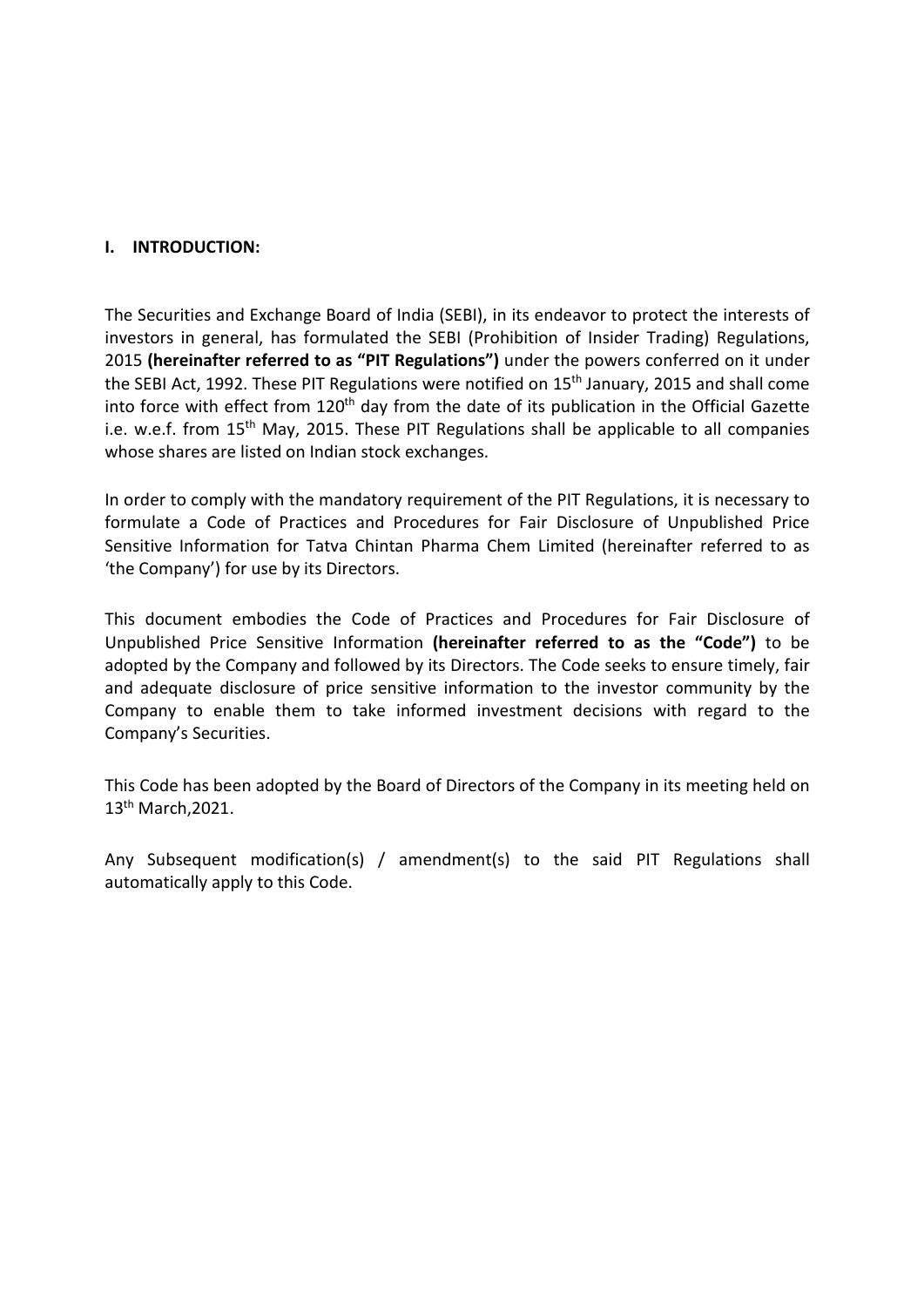**I.** INTRODUCTION:<br>The Securities and Exchange Board of India (SEBI), in its endeavor to p<br>investors in general, has formulated the SEBI (Prohibition of Insider<br>2015 (hereinafter referred to as "PIT Regulations") under the **I. INTRODUCTION:**<br>The Securities and Exchange Board of India (SEBI), in its endeavor to protect the interests of<br>investors in general, has formulated the SEBI (Prohibition of Insider Trading) Regulations,<br>2015 **(hereinaft i.** INTRODUCTION:<br>The Securities and Exchange Board of India (SEBI), in its endeavor to protect the interests of<br>investors in general, has formulated the SEBI (Prohibition of Insider Trading) Regulations,<br>2015 (**hereinat** 1. INTRODUCTION:<br>
The Securities and Exchange Board of India (SEBI), in its endeavor to protect the interests of<br>
investors in general, has formulated the SEBI (Prohibition of Insider Trading) Regulations,<br>
2015 (**hereinaf** I. INTRODUCTION:<br>The Securities and Exchange Board of India (SEBI), in its endeavor to protect the interests of<br>investors in general, has formulated the SEBI (Prohibition of Insider Trading) Regulations,<br>2015 (hereinafter **I.** INTRODUCTION:<br>The Securities and Exchange Board of India (SEBI), in its endeavor to protect the interests of<br>investors in general, has formulated the SEBI (Prohibition of Insider Trading) Regulations,<br>2015 (Mereinaft **I.** INTRODUCTION:<br>The Securities and Exchange Board of India (SEBI), in its endeavor to protect the interests of<br>investors in general, has formulated the SEBI (Prohibition of Insider Trading) Regulations,<br>2015 (hereinafte **I. INTRODUCTION:**<br>The Securities and Exchange Board of India (SEBI), in its endeavor to protect the interests of<br>investors in general, has formulated the SEBI (Prohibition of Insider Trading) Regulations,<br>2015 (hereinafte **I. INTRODUCTION:**<br>The Securities and Exchange Board of India (SEBI), in its endeavor to protect the interests of<br>investors in general, has formulated the SEBI (Prohibition of Insider Trading) Regulations,<br>2015 **(hereinaft I.** INTRODUCTION:<br>The Securities and Exchange Board of India (SEBI), in its endeavor to protect the interests of<br>investors in general, has formulated the SEBI (Prohibition of Insider Trading) Regulations,<br>2015 (**hereinaft** I. INTRODUCTION:<br>The Securities and Exchange Board of India (SEBI), in its endeavor to protect the interests of<br>investors in general, has formulated the SEBI (Prohibition of Insider Trading) Regulations,<br>2015 (hereinafter I. INTRODUCTION:<br>
The Securities and Exchange Board of India (SEBI), in its endeavor to protect the interests of<br>
investors in general, has formulated the SEBI (Profibilition of Insider Trading) Regulations,<br>
2015 (**herein I. INTRODUCTION:**<br>
The Securities and Exchange Board of India (SEBI), in its endeavor to protect the interests of<br>
investors in general, has formulated the SEBI (Prohibition of Insider Trading) Regulations,<br>
2015 (hereina The Securities and Exchange Board of India (SEBI), in its endeavor to protect the interests of<br>investors in general, has formulated the SEBI (Prohibition of Insider Trading) Regulations,<br>2015 (hereinafter referred to as "P The Securities and Exchange Board of India (SEBI), in its endeavor to protect the interests of<br>investors in general, has formulated the SEBI (Prohibition of Insider Trading) Regulations,<br>2015 (**hereinafter referred to as "** The Securities and Exchange Board of India (SEBI), in its endeavor to protect the interests of inversions, in general, has formulated the SEBI (Probibition of Insider Trading) Regulations, 2015 (hereinather referred to as Investors in general, has formulated the SEBI (Prohibition of Insider Trading) Regulations,<br>2015 (hereinafter referred to as "PIT Regulations") under the powers conferred on time<br>the SEBI Act, 1992. These PIT Regulations w

Anten and the provision of the Board of Directors of the Company's Color State (1015). (hereinafter referred to as "PIT Regulations") under the powers conferred the SEBI Act, 1992. These PIT Regulations were notified on 15 into force with effect from 120<sup>th</sup> day from the date of its publication in the Official Gazette<br>i.e. w.e.f. from 15<sup>th</sup> May, 2015. These PIT Regulations shall be applicable to all companies<br>whose shares are listed on Indi In order to comply with the mandatory requirement of the PIT Regulations, it is necessary to formulate a Code of Practices and Procedures for Fair Disclosure of Unpublished Price Sensitive Information for Tatva Chintan Pha In order to comply with the mandatory requirement of the PIT Regulations, it is necessary to<br>formulate a Code of Practices and Procedures for Fair Disclosure of Unpublished Price<br>Sensitive Information for Tatva Chintan Pha

13th March,2021.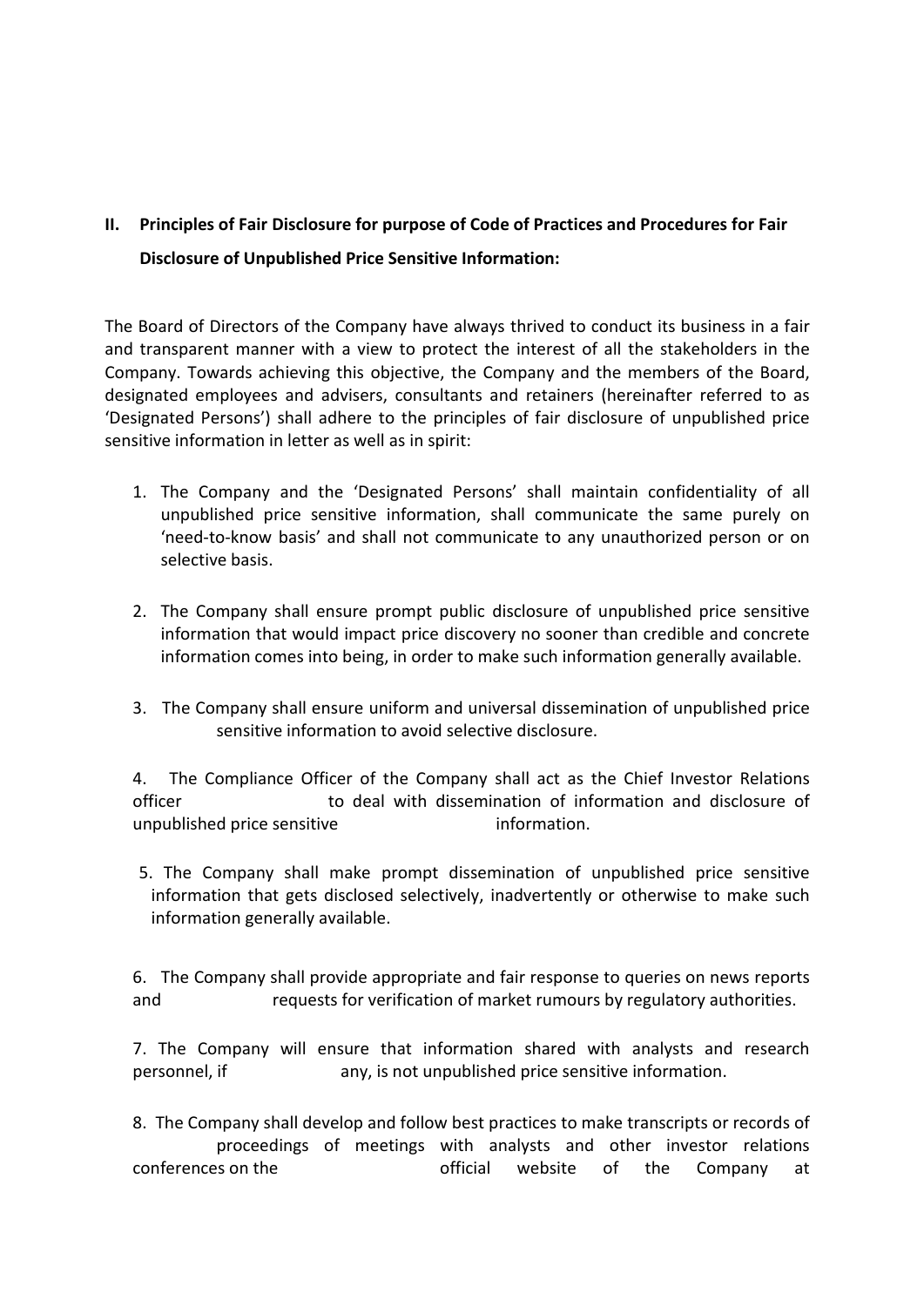# II. Principles of Fair Disclosure for purpose of Code of Practices and Procedures for Fair<br>Disclosure of Unpublished Price Sensitive Information:<br>The Board of Directors of the Company have always thrived to conduct its bus

Principles of Fair Disclosure for purpose of Code of Practices and Procedures for Fair<br>Disclosure of Unpublished Price Sensitive Information:<br>Board of Directors of the Company have always thrived to conduct its business in II. Principles of Fair Disclosure for purpose of Code of Practices and Procedures for Fair<br>Disclosure of Unpublished Price Sensitive Information:<br>The Board of Directors of the Company have always thrived to conduct its bus II. Principles of Fair Disclosure for purpose of Code of Practices and Procedures for Fair<br>Disclosure of Unpublished Price Sensitive Information:<br>The Board of Directors of the Company have always thrived to conduct its bus **II.** Principles of Fair Disclosure for purpose of Code of Practices and Procedures for Fair<br>Disclosure of Unpublished Price Sensitive Information:<br>The Board of Directors of the Company have always thrived to conduct its b **II.** Principles of Fair Disclosure for purpose of Code of Practices and Procedures for Fair<br>Disclosure of Unpublished Price Sensitive Information:<br>The Board of Directors of the Company have always thrived to conduct its b II. Principles of Fair Disclosure for purpose of Code of Practices and Procedures for Fair<br>Disclosure of Unpublished Price Sensitive Information:<br>The Board of Directors of the Company have always thrived to conduct its bus II. Principles of Fair Disclosure for purpose of Code of Practices and Procedures for Fair<br>Disclosure of Unpublished Price Sensitive Information:<br>The Board of Directors of the Company have always thrived to conduct its bus **Principles of Fair Disclosure for purpose of Code of Practices and Procedures for Fair<br>
Disclosure of Unpublished Price Sensitive Information:**<br>
Board of Directors of the Company have always thrived to conduct its busines nciples of Fair Disclosure for purpose of Code of Practices and Procedures for Fair<br>
schosure of Unpublished Price Sensitive Information.<br>
And of Directors of the Company have always thrived to conduct its business in a fa nciples of Fair Disclosure for purpose of Code of Practices and Procedures for Fair<br>
relosure of Unpublished Price Sensitive Information:<br>
and of Directors of the Company have always thrived to conduct its business in a fa nciples of Fair Disclosure for purpose of Code of Practices and Procedures f<br>closure of Unpublished Price Sensitive Information:<br>ard of Directors of the Company have always thrived to conduct its busines<br>nsparent manner wi Principles of Fair Disclosure for purpose of Code of Practices and Procedures for Fair<br>Disclosure of Unpublished Price Sensitive Information:<br>Board of Directors of the Company have always thrived to conduct its business in colosure of Unpublished Price Sensitive Information:<br>
ard of Directors of the Company have always thrived to conduct its business in a fair<br>
susparent manner with a view to protect the interest of all the stakeholders in t and of Directors of the Company have always thrived to conduct its business in a fair syparent manner with a view to protect the interest of all the stakeholders in the marked archively, the Company and the members of the Board of Directors of the Company have always thrived to conduct its business in a fair<br>transparent manner with a view to protect the interest of all the stakeholders in the<br>phany. Towards achieving this objective, the Com It manner with a view to protect the interest of all the stakeholders in the mandra achieving this objective, the Company and the members of the Board, prolonge sand advisers, consultants and retainers (hereinafter referre

- ignated employees and advisers, consultants and retainers (hereinafter referred to as<br>is the information in letter as well as in spirit:<br>stive information in letter as well as in spirit:<br>1. The Company and the 'Designated of increases all all adhere to the principles of fair disclosure of unpublished price<br>sitive information in letter as well as in spirit:<br>
1. The Company and the 'Designated Persons' shall manitain confidentiality of all<br>
u istive information in letter as well as in spirit:<br>
1. The Company and the 'Designated Persons' shall maintain confidentiality of all<br>
unpublished price sensitive information, shall communicate the same purely on<br>
"need-to 9. The Company and the 'Designated Persons' shall maintain confidentiality of all<br>numulationed price sensitive information, shall communicate the same purely on<br>"need-to-know basis" and shall not communicate to any unautho
- 
- 

information, shall communicate the same purely on<br>
'need-to-know basis' and shall not communicate to any unauthorized person or on<br>
selective basis.<br>
The Company shall ensure prompt public disclosure of unpublished price s The Company shall mate prompt public disclosure of ny unauthorized person or on selective basis.<br>
The Company shall ensure prompt public disclosure of unpublished price sensitive<br>
information that would impact price discov 1. The Company shall ensure prompt public disclosure of unpublished price sensitive<br>information that would impact price discovery no sooner than credible and concrete<br>information comes into being, in order to make such inf 2. In Company shall ensure prompt punct ensuchs are onlinear particle sensure to information comes into being, in order to make such information generally available.<br>
3. The Company shall ensure uniform and universal disse 7. The Company shall develop and follow best practices to make share information of unpublished price<br>
sensitive information to avoid selective disclosure.<br>
4. The Complinate Officer to deal with dissemination of informati

9. The Company shall ensure uniform and universal dissemination of unpublished price<br>sensitive information to avoid selective disclosure.<br>4. The Compliance Officer of the Company shall act as the Chief Investor Relations<br>o Sensitive information to avoid selective disculsions.<br>
4. The Compliance Officer of the Company shall act as the Chief Investor Relations<br>
10 of deal with dissemination of information and disclosure of<br>
5. The Company shal ompliance Officer of the Company shall act as the Chief Investor Relations<br>to deal with dissemination of information and disclosure of<br>price sensitive<br>information.<br>Depending to the information of unpublished price sensitiv 4. The Company chall the Company shall acts the Chiefer<br>officer to the Company shall make prompt dissemination of information and disclosure of<br>unpublished price sensitive information.<br>5. The Company shall make prompt diss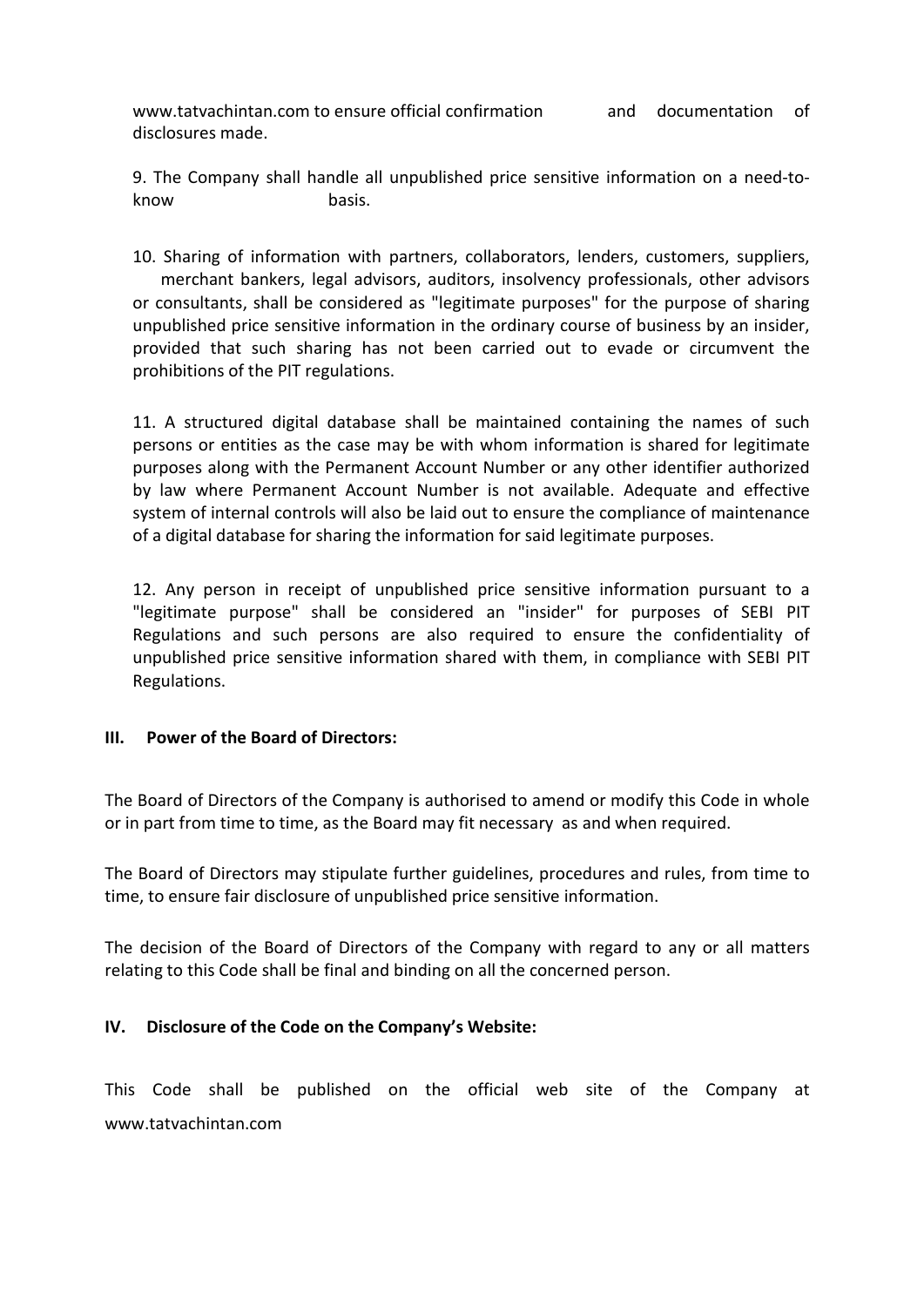www.tatvachintan.com to ensure official confirmation and documentation of disclosures made.<br>9. The Company shall handle all unpublished price sensitive information on a need-to-<br>basis. www.tatvachintan.com to ensure official confirmation and document disclosures made.<br>
9. The Company shall handle all unpublished price sensitive information on hasis.

montroposition and documentation of<br>disclosures made.<br>9. The Company shall handle all unpublished price sensitive information on a need-to-<br>hand basis.<br>10. Sharing of information with partners, collaborators, lenders, cust Www.tatvachintan.com to ensure official confirmation<br>
and documentation of<br>
disclosures made.<br>
9. The Company shall handle all unpublished price sensitive information on a need-to-<br>
know<br>
10. Sharing of information with pa mething of the particular of the particular of the partners and the partners and disclosures made.<br>
10. Sharing of information with partners, collaborators, lenders, customers, suppliers,<br>
10. Sharing of information with p merchant bankers, legal advisors, auditorial confirmation and documentation of alosures made.<br>
The Company shall handle all unpublished price sensitive information on a need-to-<br>
basis.<br>
Sharing of information with partner mation and documentation of disclosures made.<br>
9. The Company shall handle all unpublished price sensitive information on a need-to-<br>
know basis.<br>
10. Sharing of information with partners, collaborators, lenders, customers www.tatvachintan.com to ensure official confirmation<br>
9. The Company shall handle all unpublished price sensitive information on a need-to-<br>
know basis.<br>
10. Sharing of information with partners, collaborators, lenders, cu montion worker and the ensure official confirmation<br>
9. The Company shall handle all unpublished price sensitive information on a need-to-<br>
know basis.<br>
10. Sharing of information with partners, collaborators, lenders, cus model was the PIT regulations.<br>
The Company shall handle all unpublished price sensitive information on a need-to-<br>
9. The Company shall handle all unpublished price sensitive information on a need-to-<br>
hasis.<br>
10. Sharing WWW. tatvachintan.com to ensure official confirmation and documentation of<br>disclosures made.<br>
9. The Company shall handle all unpublished price sensitive information on a need-to-<br>
handle all handle all unpublished price s

www.tatvachintan.com to ensure official confirmation and documentation of<br>disclosures made.<br>9. The Company shall handle all unpublished price sensitive information on a need-to-<br>know basis.<br>10. Sharing of information with mow.tatvachintan.com to ensure official confirmation and documentation of disclosures made.<br>
9. The Company shall handle all unpublished price sensitive information on a need-to-<br>
know basis.<br>
10. Sharing of information wi www.tatvachintan.com to ensure official confirmation and documentation of<br>disclosures made.<br>9. The Company shall handle all unpublished price sensitive information on a need-to-<br>know<br>10. Sharing of information with partner disclosures made.<br>
9. The Company shall handle all unpublished price sensitive information on a need-to-<br>
know basis.<br>
10. Sharing of information with partners, collaborators, lenders, customers, suppliers,<br>
10. Sharing of 9. The Company shall handle all unpublished price sensitive information on a need-to-<br>know basis.<br>10. Sharing of information with partners, collaborators, lenders, customers, suppliers,<br>necessaring more than the informatio 10. Sharing of information with partners, collaborators, lenders, customers, suppliers, merchant bankers, legal advisors, auditors, insolvency professionals, other advisors or consultants, shall be considered as "legitimit 10. Sharing of information with partners, collaborators, lenders, customers, suppliers, merchant bankers, legal advisors, auditors, insolvency professionals, other advisors or consultants, shall be considered as "legitimat 10. Sharing of information with partners, collaborators, lenders, customers, suppliers, or consultants bankers, legal advisors, auditors, insolvency professionals, other advisors or consultants, shall be considered as "leg merchant bankers, legal advisors, auditors, insolvency professionals, other advisors<br>or consultants, shall be considered as "legitimate purposes" for the purpose of sharing<br>unpublished price sensitive information in the or provided that such sharing ras not been carried out to evade or circumvent the<br>prohibitions of the PIT regulations.<br>11. A structured digital database shall be maintained containing the names of such<br>persons or entities as 11. A structured digital database shall be maintained containing the names of such persons or entities as the case may be with whom information is shared for legitimate purposes along with the Permanent Account Number or a persons or entities as the case may be with whom information is shared for legitimate<br>purposes along with the Permanent Account Number or any other identifier authorized<br>by law where Permanent Account Number is not availab

Regulations. by law where Permanent Account Number is not available. Adequate and effective<br>system of internal controls will also be laid out to ensure the compliance of maintenance<br>of a digital database for sharing the information for system of internal controls will also be laid out to ensure the compliance of maintenance<br>of a digital database for sharing the information for said legitimate purposes.<br>12. Any person in receipt of unpublished price sensi 12. Any person in receipt of unpublished price sensitive information pursuant to a "legitimate purpose" shall be considered an "insider" for purposes of SEBI PIT Regulations and such persons are also required to ensure the 12. Any person in receipt of unpublished price sensitive information pursuant to a<br>"legitimate purpose" shall be considered an "linsider" for purposes of SEBI PIT<br>Regulations and such persons are also required to ensure th IM. Power of the Board of Directors and such present the competible of the Company is authorized to anes of equal them, in compliance with SEBI PIT<br>
III. Power of the Board of Directors:<br>
The Board of Directors of the Comp

III. Power of the Board of Directors:<br>The Board of Directors of the Company is authorised to amend or modify this Code in whole<br>or in part from time to time, as the Board may fit necessary as and when required.<br>The Board o www.tatvachintan.com